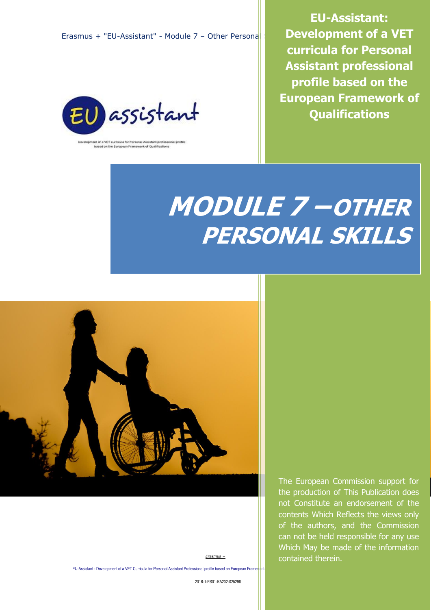

nt of a VET curricula for Personal Assistant professional profile<br>based on the European Framework of Qualifications

**EU-Assistant: Development of a VET curricula for Personal Assistant professional profile based on the European Framework of Qualifications**

# **MODULE 7 –OTHER PERSONAL SKILLS**



*Erasmus +*

EU-Assistant - Development of a VET Curricula for Personal Assistant Professional profile based on European Frame

2016-1-ES01-KA202-025296

The European Commission support for the production of This Publication does not Constitute an endorsement of the contents Which Reflects the views only of the authors, and the Commission can not be held responsible for any use Which May be made of the information contained therein.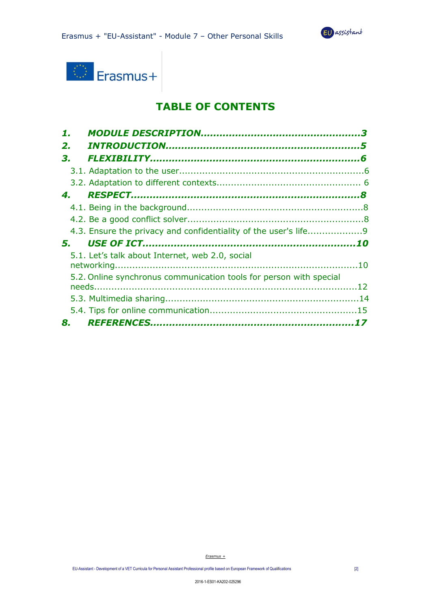



## **TABLE OF CONTENTS**

| 2. |                                                                    |  |
|----|--------------------------------------------------------------------|--|
| З. |                                                                    |  |
|    |                                                                    |  |
|    |                                                                    |  |
| 4. |                                                                    |  |
|    |                                                                    |  |
|    |                                                                    |  |
|    | 4.3. Ensure the privacy and confidentiality of the user's life9    |  |
| 5. |                                                                    |  |
|    | 5.1. Let's talk about Internet, web 2.0, social                    |  |
|    | 5.2. Online synchronus communication tools for person with special |  |
|    |                                                                    |  |
|    |                                                                    |  |
| 8. |                                                                    |  |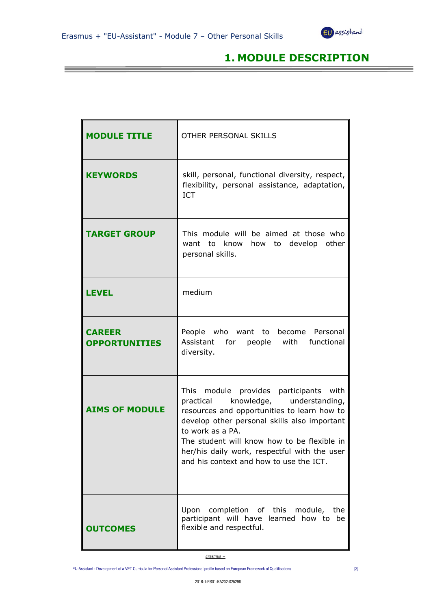*<b>b <b>b <i> <b>b <b><i>b b <b>b <b>b <b>b <b>b <b>b <b>b <b>b* 



## **1. MODULE DESCRIPTION**

| <b>MODULE TITLE</b>                   | OTHER PERSONAL SKILLS                                                                                                                                                                                                                                                                                                                         |
|---------------------------------------|-----------------------------------------------------------------------------------------------------------------------------------------------------------------------------------------------------------------------------------------------------------------------------------------------------------------------------------------------|
| <b>KEYWORDS</b>                       | skill, personal, functional diversity, respect,<br>flexibility, personal assistance, adaptation,<br><b>ICT</b>                                                                                                                                                                                                                                |
| <b>TARGET GROUP</b>                   | This module will be aimed at those who<br>to develop other<br>want to know<br>how<br>personal skills.                                                                                                                                                                                                                                         |
| LEVEL                                 | medium                                                                                                                                                                                                                                                                                                                                        |
| <b>CAREER</b><br><b>OPPORTUNITIES</b> | People who want to become Personal<br>Assistant for people with<br>functional<br>diversity.                                                                                                                                                                                                                                                   |
| <b>AIMS OF MODULE</b>                 | module provides participants with<br>This<br>practical knowledge, understanding,<br>resources and opportunities to learn how to<br>develop other personal skills also important<br>to work as a PA.<br>The student will know how to be flexible in<br>her/his daily work, respectful with the user<br>and his context and how to use the ICT. |
| <b>OUTCOMES</b>                       | Upon<br>completion of this module, the<br>participant will have learned how to be<br>flexible and respectful.                                                                                                                                                                                                                                 |

*Erasmus +*

EU-Assistant - Development of a VET Curricula for Personal Assistant Professional profile based on European Framework of Qualifications [3]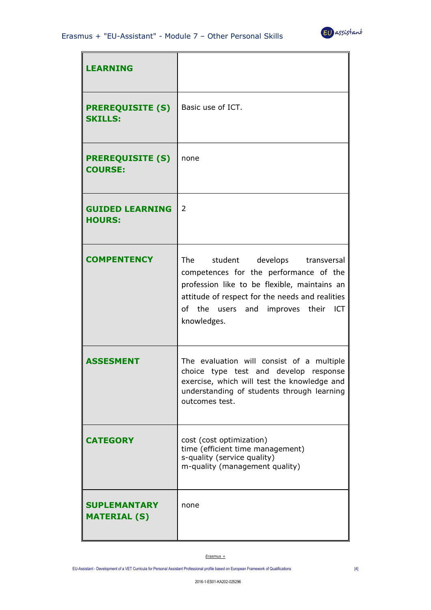

| <b>LEARNING</b>                            |                                                                                                                                                                                                                                              |
|--------------------------------------------|----------------------------------------------------------------------------------------------------------------------------------------------------------------------------------------------------------------------------------------------|
| <b>PREREQUISITE (S)</b><br><b>SKILLS:</b>  | Basic use of ICT.                                                                                                                                                                                                                            |
| <b>PREREQUISITE (S)</b><br><b>COURSE:</b>  | none                                                                                                                                                                                                                                         |
| <b>GUIDED LEARNING</b><br><b>HOURS:</b>    | 2                                                                                                                                                                                                                                            |
| <b>COMPENTENCY</b>                         | student develops transversal<br>The<br>competences for the performance of the<br>profession like to be flexible, maintains an<br>attitude of respect for the needs and realities<br>of the users and<br>improves their<br>ICT<br>knowledges. |
| <b>ASSESMENT</b>                           | The evaluation will consist of a multiple<br>choice type test and develop<br>response<br>exercise, which will test the knowledge and<br>understanding of students through learning<br>outcomes test.                                         |
| <b>CATEGORY</b>                            | cost (cost optimization)<br>time (efficient time management)<br>s-quality (service quality)<br>m-quality (management quality)                                                                                                                |
| <b>SUPLEMANTARY</b><br><b>MATERIAL (S)</b> | none                                                                                                                                                                                                                                         |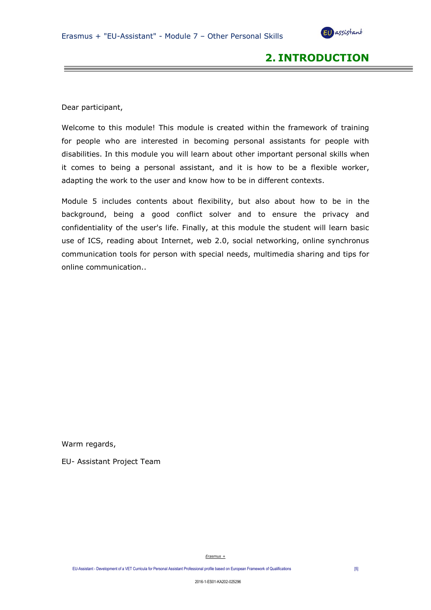

## **2. INTRODUCTION**

Dear participant,

Welcome to this module! This module is created within the framework of training for people who are interested in becoming personal assistants for people with disabilities. In this module you will learn about other important personal skills when it comes to being a personal assistant, and it is how to be a flexible worker, adapting the work to the user and know how to be in different contexts.

Module 5 includes contents about flexibility, but also about how to be in the background, being a good conflict solver and to ensure the privacy and confidentiality of the user's life. Finally, at this module the student will learn basic use of ICS, reading about Internet, web 2.0, social networking, online synchronus communication tools for person with special needs, multimedia sharing and tips for online communication..

Warm regards,

EU- Assistant Project Team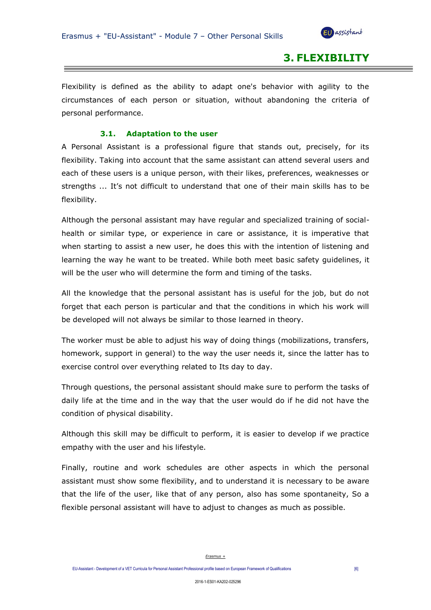

## **3. FLEXIBILITY**

Flexibility is defined as the ability to adapt one's behavior with agility to the circumstances of each person or situation, without abandoning the criteria of personal performance.

#### **3.1. Adaptation to the user**

A Personal Assistant is a professional figure that stands out, precisely, for its flexibility. Taking into account that the same assistant can attend several users and each of these users is a unique person, with their likes, preferences, weaknesses or strengths ... It's not difficult to understand that one of their main skills has to be flexibility.

Although the personal assistant may have regular and specialized training of socialhealth or similar type, or experience in care or assistance, it is imperative that when starting to assist a new user, he does this with the intention of listening and learning the way he want to be treated. While both meet basic safety guidelines, it will be the user who will determine the form and timing of the tasks.

All the knowledge that the personal assistant has is useful for the job, but do not forget that each person is particular and that the conditions in which his work will be developed will not always be similar to those learned in theory.

The worker must be able to adjust his way of doing things (mobilizations, transfers, homework, support in general) to the way the user needs it, since the latter has to exercise control over everything related to Its day to day.

Through questions, the personal assistant should make sure to perform the tasks of daily life at the time and in the way that the user would do if he did not have the condition of physical disability.

Although this skill may be difficult to perform, it is easier to develop if we practice empathy with the user and his lifestyle.

Finally, routine and work schedules are other aspects in which the personal assistant must show some flexibility, and to understand it is necessary to be aware that the life of the user, like that of any person, also has some spontaneity, So a flexible personal assistant will have to adjust to changes as much as possible.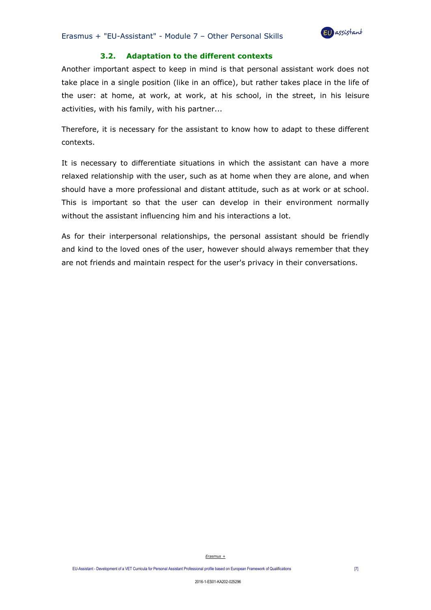

#### **3.2. Adaptation to the different contexts**

Another important aspect to keep in mind is that personal assistant work does not take place in a single position (like in an office), but rather takes place in the life of the user: at home, at work, at work, at his school, in the street, in his leisure activities, with his family, with his partner...

Therefore, it is necessary for the assistant to know how to adapt to these different contexts.

It is necessary to differentiate situations in which the assistant can have a more relaxed relationship with the user, such as at home when they are alone, and when should have a more professional and distant attitude, such as at work or at school. This is important so that the user can develop in their environment normally without the assistant influencing him and his interactions a lot.

As for their interpersonal relationships, the personal assistant should be friendly and kind to the loved ones of the user, however should always remember that they are not friends and maintain respect for the user's privacy in their conversations.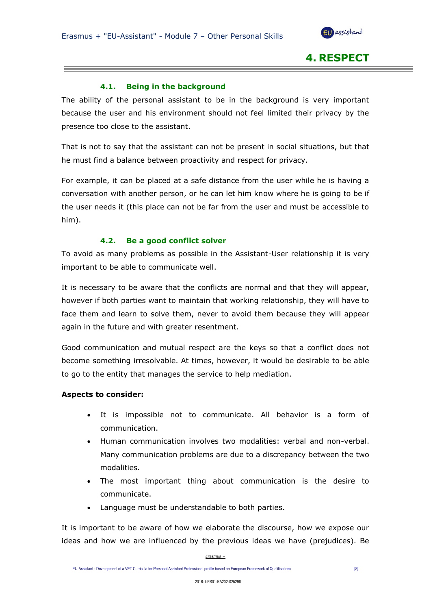

**4. RESPECT**

#### **4.1. Being in the background**

The ability of the personal assistant to be in the background is very important because the user and his environment should not feel limited their privacy by the presence too close to the assistant.

That is not to say that the assistant can not be present in social situations, but that he must find a balance between proactivity and respect for privacy.

For example, it can be placed at a safe distance from the user while he is having a conversation with another person, or he can let him know where he is going to be if the user needs it (this place can not be far from the user and must be accessible to him).

#### **4.2. Be a good conflict solver**

To avoid as many problems as possible in the Assistant-User relationship it is very important to be able to communicate well.

It is necessary to be aware that the conflicts are normal and that they will appear, however if both parties want to maintain that working relationship, they will have to face them and learn to solve them, never to avoid them because they will appear again in the future and with greater resentment.

Good communication and mutual respect are the keys so that a conflict does not become something irresolvable. At times, however, it would be desirable to be able to go to the entity that manages the service to help mediation.

#### **Aspects to consider:**

- It is impossible not to communicate. All behavior is a form of communication.
- Human communication involves two modalities: verbal and non-verbal. Many communication problems are due to a discrepancy between the two modalities.
- The most important thing about communication is the desire to communicate.
- Language must be understandable to both parties.

It is important to be aware of how we elaborate the discourse, how we expose our ideas and how we are influenced by the previous ideas we have (prejudices). Be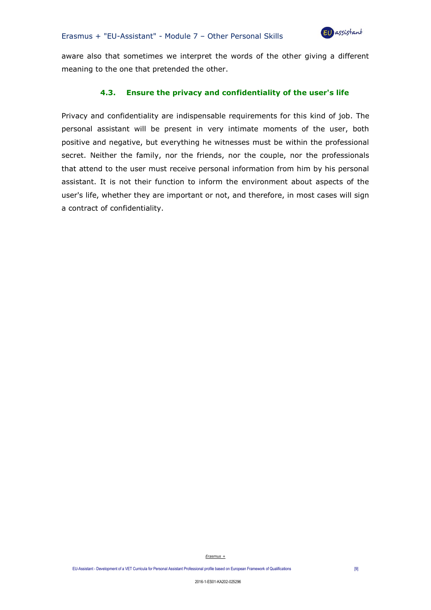

aware also that sometimes we interpret the words of the other giving a different meaning to the one that pretended the other.

#### **4.3. Ensure the privacy and confidentiality of the user's life**

Privacy and confidentiality are indispensable requirements for this kind of job. The personal assistant will be present in very intimate moments of the user, both positive and negative, but everything he witnesses must be within the professional secret. Neither the family, nor the friends, nor the couple, nor the professionals that attend to the user must receive personal information from him by his personal assistant. It is not their function to inform the environment about aspects of the user's life, whether they are important or not, and therefore, in most cases will sign a contract of confidentiality.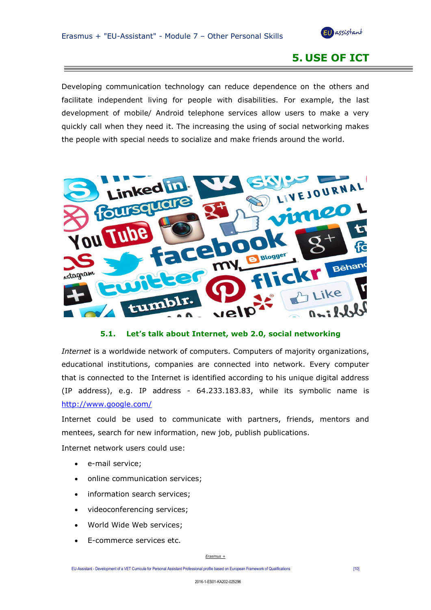

## **5. USE OF ICT**

Developing communication technology can reduce dependence on the others and facilitate independent living for people with disabilities. For example, the last development of mobile/ Android telephone services allow users to make a very quickly call when they need it. The increasing the using of social networking makes the people with special needs to socialize and make friends around the world.



#### **5.1. Let's talk about Internet, web 2.0, social networking**

*Internet* is a worldwide network of computers. Computers of majority organizations, educational institutions, companies are connected into network. Every computer that is connected to the Internet is identified according to his unique digital address (IP address), e.g. IP address - 64.233.183.83, while its symbolic name is <http://www.google.com/>

Internet could be used to communicate with partners, friends, mentors and mentees, search for new information, new job, publish publications.

Internet network users could use:

- e-mail service;
- online communication services;
- information search services;
- videoconferencing services;
- World Wide Web services;
- E-commerce services etc.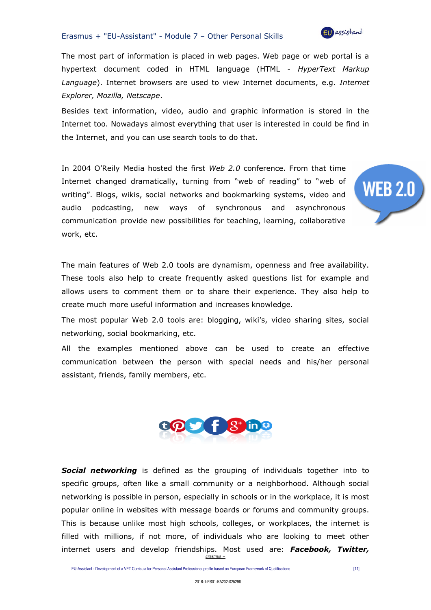

**WEB 2.0** 

The most part of information is placed in web pages. Web page or web portal is a hypertext document coded in HTML language (HTML - *HyperText Markup Language*). Internet browsers are used to view Internet documents, e.g. *Internet Explorer, Mozilla, Netscape*.

Besides text information, video, audio and graphic information is stored in the Internet too. Nowadays almost everything that user is interested in could be find in the Internet, and you can use search tools to do that.

In 2004 O'Reily Media hosted the first *Web 2.0* conference. From that time Internet changed dramatically, turning from "web of reading" to "web of writing". Blogs, wikis, social networks and bookmarking systems, video and audio podcasting, new ways of synchronous and asynchronous communication provide new possibilities for teaching, learning, collaborative work, etc.

The main features of Web 2.0 tools are dynamism, openness and free availability. These tools also help to create frequently asked questions list for example and allows users to comment them or to share their experience. They also help to create much more useful information and increases knowledge.

The most popular Web 2.0 tools are: blogging, wiki's, video sharing sites, social networking, social bookmarking, etc.

All the examples mentioned above can be used to create an effective communication between the person with special needs and his/her personal assistant, friends, family members, etc.



*Erasmus + Social networking* is defined as the grouping of individuals together into to specific groups, often like a small community or a neighborhood. Although social networking is possible in person, especially in schools or in the workplace, it is most popular online in websites with message boards or forums and community groups. This is because unlike most high schools, colleges, or workplaces, the internet is filled with millions, if not more, of individuals who are looking to meet other internet users and develop friendships. Most used are: *Facebook, Twitter,*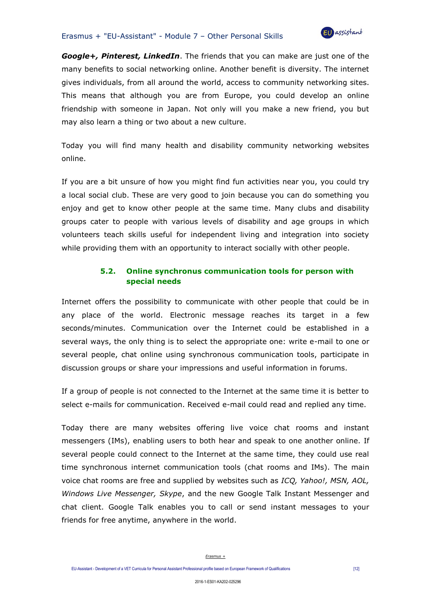

*Google+, Pinterest, LinkedIn*. The friends that you can make are just one of the many benefits to social networking online. Another benefit is diversity. The internet gives individuals, from all around the world, access to community networking sites. This means that although you are from Europe, you could develop an online friendship with someone in Japan. Not only will you make a new friend, you but may also learn a thing or two about a new culture.

Today you will find many health and disability community networking websites online.

If you are a bit unsure of how you might find fun activities near you, you could try a local social club. These are very good to join because you can do something you enjoy and get to know other people at the same time. Many clubs and disability groups cater to people with various levels of disability and age groups in which volunteers teach skills useful for independent living and integration into society while providing them with an opportunity to interact socially with other people.

#### **5.2. Online synchronus communication tools for person with special needs**

Internet offers the possibility to communicate with other people that could be in any place of the world. Electronic message reaches its target in a few seconds/minutes. Communication over the Internet could be established in a several ways, the only thing is to select the appropriate one: write e-mail to one or several people, chat online using synchronous communication tools, participate in discussion groups or share your impressions and useful information in forums.

If a group of people is not connected to the Internet at the same time it is better to select e-mails for communication. Received e-mail could read and replied any time.

Today there are many websites offering live voice chat rooms and instant messengers (IMs), enabling users to both hear and speak to one another online. If several people could connect to the Internet at the same time, they could use real time synchronous internet communication tools (chat rooms and IMs). The main voice chat rooms are free and supplied by websites such as *ICQ, Yahoo!, MSN, AOL, Windows Live Messenger, Skype*, and the new Google Talk Instant Messenger and chat client. Google Talk enables you to call or send instant messages to your friends for free anytime, anywhere in the world.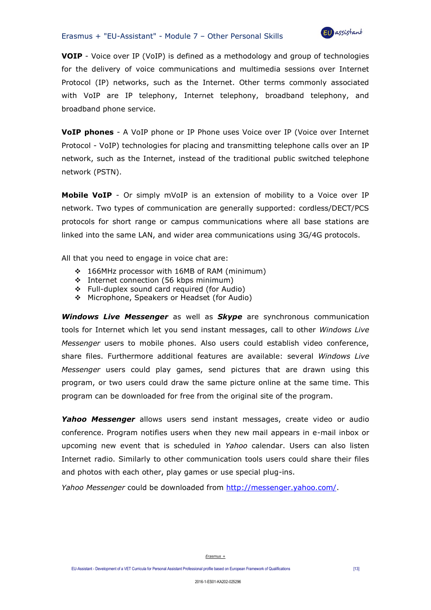

**VOIP** - Voice over IP (VoIP) is defined as a methodology and group of technologies for the delivery of voice communications and multimedia sessions over Internet Protocol (IP) networks, such as the Internet. Other terms commonly associated with VoIP are IP telephony, Internet telephony, broadband telephony, and broadband phone service.

**VoIP phones** - A VoIP phone or IP Phone uses Voice over IP (Voice over Internet Protocol - VoIP) technologies for placing and transmitting telephone calls over an IP network, such as the Internet, instead of the traditional public switched telephone network (PSTN).

**Mobile VoIP** - Or simply mVoIP is an extension of mobility to a Voice over IP network. Two types of communication are generally supported: cordless/DECT/PCS protocols for short range or campus communications where all base stations are linked into the same LAN, and wider area communications using 3G/4G protocols.

All that you need to engage in voice chat are:

- ❖ 166MHz processor with 16MB of RAM (minimum)
- ❖ Internet connection (56 kbps minimum)
- ❖ Full-duplex sound card required (for Audio)
- ❖ Microphone, Speakers or Headset (for Audio)

*Windows Live Messenger* as well as *Skype* are synchronous communication tools for Internet which let you send instant messages, call to other *Windows Live Messenger* users to mobile phones. Also users could establish video conference, share files. Furthermore additional features are available: several *Windows Live Messenger* users could play games, send pictures that are drawn using this program, or two users could draw the same picture online at the same time. This program can be downloaded for free from the original site of the program.

*Yahoo Messenger* allows users send instant messages, create video or audio conference. Program notifies users when they new mail appears in e-mail inbox or upcoming new event that is scheduled in *Yahoo* calendar. Users can also listen Internet radio. Similarly to other communication tools users could share their files and photos with each other, play games or use special plug-ins.

*Yahoo Messenger* could be downloaded from [http://messenger.yahoo.com/.](http://messenger.yahoo.com/)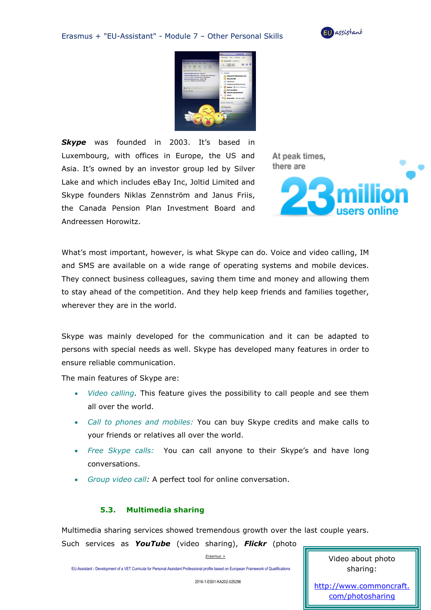



**Skype** was founded in 2003. It's based in Luxembourg, with offices in Europe, the US and Asia. It's owned by an investor group led by Silver Lake and which includes eBay Inc, Joltid Limited and Skype founders Niklas Zennström and Janus Friis, the Canada Pension Plan Investment Board and Andreessen Horowitz.

At peak times. there are



What's most important, however, is what Skype can do. Voice and video calling, IM and SMS are available on a wide range of operating systems and mobile devices. They connect business colleagues, saving them time and money and allowing them to stay ahead of the competition. And they help keep friends and families together, wherever they are in the world.

Skype was mainly developed for the communication and it can be adapted to persons with special needs as well. Skype has developed many features in order to ensure reliable communication.

The main features of Skype are:

- *Video calling.* This feature gives the possibility to call people and see them all over the world.
- *Call to phones and mobiles:* You can buy Skype credits and make calls to your friends or relatives all over the world.
- *Free Skype calls:* You can call anyone to their Skype's and have long conversations.
- *Group video call:* A perfect tool for online conversation.

#### **5.3. Multimedia sharing**

Multimedia sharing services showed tremendous growth over the last couple years. Such services as *YouTube* (video sharing), *Flickr* (photo

*Erasmus +*

EU-Assistant - Development of a VET Curricula for Personal Assistant Professional profile based on European Framework of Qualifications [14]

Video about photo sharing:

2016-1-ES01-KA202-025296

[http://www.commoncraft.](http://www.commoncraft.com/photosharing) [com/photosharing](http://www.commoncraft.com/photosharing)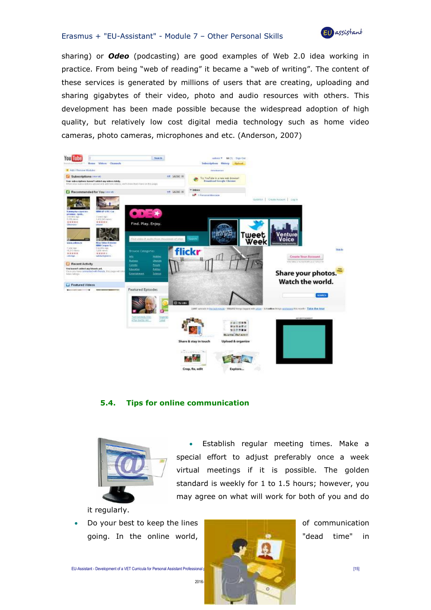

sharing) or *Odeo* (podcasting) are good examples of Web 2.0 idea working in practice. From being "web of reading" it became a "web of writing". The content of these services is generated by millions of users that are creating, uploading and sharing gigabytes of their video, photo and audio resources with others. This development has been made possible because the widespread adoption of high quality, but relatively low cost digital media technology such as home video cameras, photo cameras, microphones and etc. (Anderson, 2007)



#### **5.4. Tips for online communication**



• Establish regular meeting times. Make a special effort to adjust preferably once a week virtual meetings if it is possible. The golden standard is weekly for 1 to 1.5 hours; however, you may agree on what will work for both of you and do

it regularly.

Do your best to keep the lines **of communication** going. In the online world, "dead time" in

EU-Assistant - Development of a VET Curricula for Personal Assistant Professional profile based on European Framework of Qualifications [15]

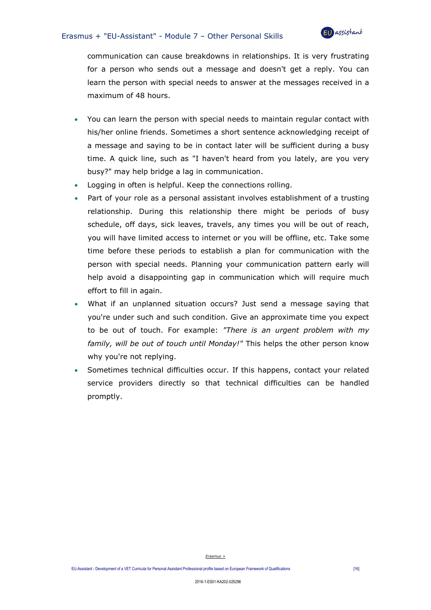

communication can cause breakdowns in relationships. It is very frustrating for a person who sends out a message and doesn't get a reply. You can learn the person with special needs to answer at the messages received in a maximum of 48 hours.

- You can learn the person with special needs to maintain regular contact with his/her online friends. Sometimes a short sentence acknowledging receipt of a message and saying to be in contact later will be sufficient during a busy time. A quick line, such as "I haven't heard from you lately, are you very busy?" may help bridge a lag in communication.
- Logging in often is helpful. Keep the connections rolling.
- Part of your role as a personal assistant involves establishment of a trusting relationship. During this relationship there might be periods of busy schedule, off days, sick leaves, travels, any times you will be out of reach, you will have limited access to internet or you will be offline, etc. Take some time before these periods to establish a plan for communication with the person with special needs. Planning your communication pattern early will help avoid a disappointing gap in communication which will require much effort to fill in again.
- What if an unplanned situation occurs? Just send a message saying that you're under such and such condition. Give an approximate time you expect to be out of touch. For example: *"There is an urgent problem with my family, will be out of touch until Monday!"* This helps the other person know why you're not replying.
- Sometimes technical difficulties occur. If this happens, contact your related service providers directly so that technical difficulties can be handled promptly.